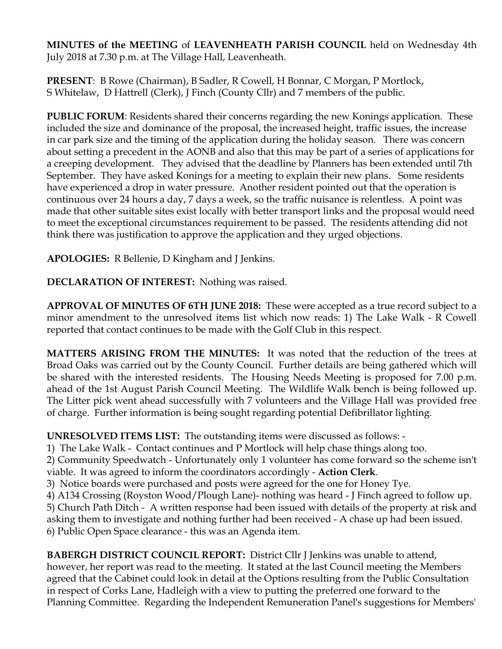**MINUTES of the MEETING** of **LEAVENHEATH PARISH COUNCIL** held on Wednesday 4th July 2018 at 7.30 p.m. at The Village Hall, Leavenheath.

**PRESENT**: B Rowe (Chairman), B Sadler, R Cowell, H Bonnar, C Morgan, P Mortlock, S Whitelaw, D Hattrell (Clerk), J Finch (County Cllr) and 7 members of the public.

**PUBLIC FORUM**: Residents shared their concerns regarding the new Konings application. These included the size and dominance of the proposal, the increased height, traffic issues, the increase in car park size and the timing of the application during the holiday season. There was concern about setting a precedent in the AONB and also that this may be part of a series of applications for a creeping development. They advised that the deadline by Planners has been extended until 7th September. They have asked Konings for a meeting to explain their new plans. Some residents have experienced a drop in water pressure. Another resident pointed out that the operation is continuous over 24 hours a day, 7 days a week, so the traffic nuisance is relentless. A point was made that other suitable sites exist locally with better transport links and the proposal would need to meet the exceptional circumstances requirement to be passed. The residents attending did not think there was justification to approve the application and they urged objections.

**APOLOGIES:** R Bellenie, D Kingham and J Jenkins.

**DECLARATION OF INTEREST:** Nothing was raised.

**APPROVAL OF MINUTES OF 6TH JUNE 2018:** These were accepted as a true record subject to a minor amendment to the unresolved items list which now reads: 1) The Lake Walk - R Cowell reported that contact continues to be made with the Golf Club in this respect.

**MATTERS ARISING FROM THE MINUTES:** It was noted that the reduction of the trees at Broad Oaks was carried out by the County Council. Further details are being gathered which will be shared with the interested residents. The Housing Needs Meeting is proposed for 7.00 p.m. ahead of the 1st August Parish Council Meeting. The Wildlife Walk bench is being followed up. The Litter pick went ahead successfully with 7 volunteers and the Village Hall was provided free of charge. Further information is being sought regarding potential Defibrillator lighting.

**UNRESOLVED ITEMS LIST:** The outstanding items were discussed as follows: -

1) The Lake Walk - Contact continues and P Mortlock will help chase things along too.

2) Community Speedwatch - Unfortunately only 1 volunteer has come forward so the scheme isn't viable. It was agreed to inform the coordinators accordingly - **Action Clerk**.

- 3) Notice boards were purchased and posts were agreed for the one for Honey Tye.
- 4) A134 Crossing (Royston Wood/Plough Lane)- nothing was heard J Finch agreed to follow up.

5) Church Path Ditch - A written response had been issued with details of the property at risk and asking them to investigate and nothing further had been received - A chase up had been issued. 6) Public Open Space clearance - this was an Agenda item.

**BABERGH DISTRICT COUNCIL REPORT:** District Cllr J Jenkins was unable to attend, however, her report was read to the meeting. It stated at the last Council meeting the Members agreed that the Cabinet could look in detail at the Options resulting from the Public Consultation in respect of Corks Lane, Hadleigh with a view to putting the preferred one forward to the Planning Committee. Regarding the Independent Remuneration Panel's suggestions for Members'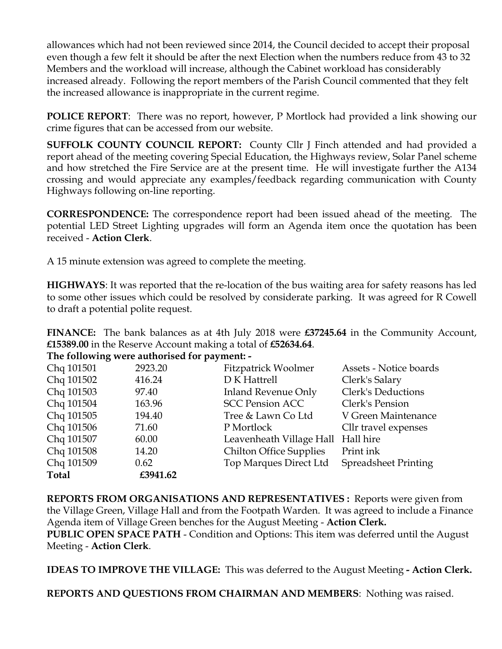allowances which had not been reviewed since 2014, the Council decided to accept their proposal even though a few felt it should be after the next Election when the numbers reduce from 43 to 32 Members and the workload will increase, although the Cabinet workload has considerably increased already. Following the report members of the Parish Council commented that they felt the increased allowance is inappropriate in the current regime.

**POLICE REPORT**: There was no report, however, P Mortlock had provided a link showing our crime figures that can be accessed from our website.

**SUFFOLK COUNTY COUNCIL REPORT:** County Cllr J Finch attended and had provided a report ahead of the meeting covering Special Education, the Highways review, Solar Panel scheme and how stretched the Fire Service are at the present time. He will investigate further the A134 crossing and would appreciate any examples/feedback regarding communication with County Highways following on-line reporting.

**CORRESPONDENCE:** The correspondence report had been issued ahead of the meeting. The potential LED Street Lighting upgrades will form an Agenda item once the quotation has been received - **Action Clerk**.

A 15 minute extension was agreed to complete the meeting.

**HIGHWAYS**: It was reported that the re-location of the bus waiting area for safety reasons has led to some other issues which could be resolved by considerate parking. It was agreed for R Cowell to draft a potential polite request.

**FINANCE:** The bank balances as at 4th July 2018 were **£37245.64** in the Community Account, **£15389.00** in the Reserve Account making a total of **£52634.64**.

| The following were authorised for payment: - |  |
|----------------------------------------------|--|
|                                              |  |

| 2923.20  | <b>Fitzpatrick Woolmer</b>     | Assets - Notice boards      |
|----------|--------------------------------|-----------------------------|
| 416.24   | D K Hattrell                   | Clerk's Salary              |
| 97.40    | <b>Inland Revenue Only</b>     | Clerk's Deductions          |
| 163.96   | <b>SCC Pension ACC</b>         | Clerk's Pension             |
| 194.40   | Tree & Lawn Co Ltd             | V Green Maintenance         |
| 71.60    | P Mortlock                     | Cllr travel expenses        |
| 60.00    |                                | Hall hire                   |
| 14.20    | <b>Chilton Office Supplies</b> | Print ink                   |
| 0.62     | Top Marques Direct Ltd         | <b>Spreadsheet Printing</b> |
| £3941.62 |                                |                             |
|          |                                | Leavenheath Village Hall    |

**REPORTS FROM ORGANISATIONS AND REPRESENTATIVES :** Reports were given from the Village Green, Village Hall and from the Footpath Warden. It was agreed to include a Finance Agenda item of Village Green benches for the August Meeting - **Action Clerk. PUBLIC OPEN SPACE PATH** - Condition and Options: This item was deferred until the August Meeting - **Action Clerk**.

**IDEAS TO IMPROVE THE VILLAGE:** This was deferred to the August Meeting **- Action Clerk.** 

**REPORTS AND QUESTIONS FROM CHAIRMAN AND MEMBERS**: Nothing was raised.